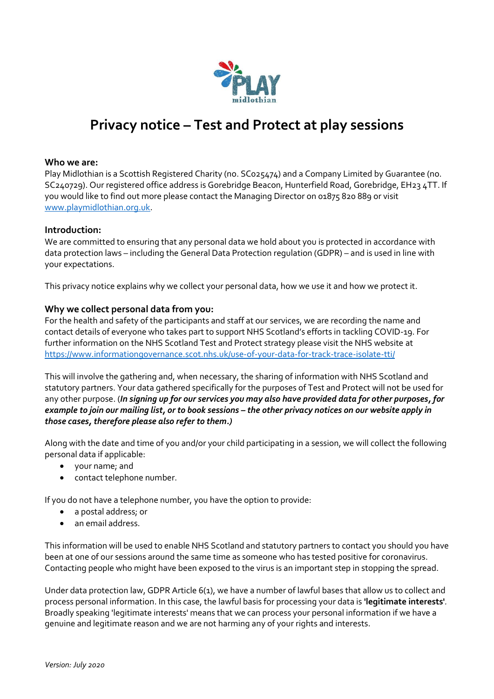

# **Privacy notice – Test and Protect at play sessions**

# **Who we are:**

Play Midlothian is a Scottish Registered Charity (no. SC025474) and a Company Limited by Guarantee (no. SC240729). Our registered office address is Gorebridge Beacon, Hunterfield Road, Gorebridge, EH23 4TT. If you would like to find out more please contact the Managing Director on 01875 820 889 or visit [www.playmidlothian.org.uk.](http://www.playmidlothian.org.uk/)

#### **Introduction:**

We are committed to ensuring that any personal data we hold about you is protected in accordance with data protection laws – including the General Data Protection regulation (GDPR) – and is used in line with your expectations.

This privacy notice explains why we collect your personal data, how we use it and how we protect it.

## **Why we collect personal data from you:**

For the health and safety of the participants and staff at our services, we are recording the name and contact details of everyone who takes part to support NHS Scotland's efforts in tackling COVID-19. For further information on the NHS Scotland Test and Protect strategy please visit the NHS website at <https://www.informationgovernance.scot.nhs.uk/use-of-your-data-for-track-trace-isolate-tti/>

This will involve the gathering and, when necessary, the sharing of information with NHS Scotland and statutory partners. Your data gathered specifically for the purposes of Test and Protect will not be used for any other purpose. (*In signing up for our services you may also have provided data for other purposes, for example to join our mailing list, or to book sessions – the other privacy notices on our website apply in those cases, therefore please also refer to them.)*

Along with the date and time of you and/or your child participating in a session, we will collect the following personal data if applicable:

- your name; and
- contact telephone number.

If you do not have a telephone number, you have the option to provide:

- a postal address; or
- an email address.

This information will be used to enable NHS Scotland and statutory partners to contact you should you have been at one of our sessions around the same time as someone who has tested positive for coronavirus. Contacting people who might have been exposed to the virus is an important step in stopping the spread.

Under data protection law, GDPR Article 6(1), we have a number of lawful bases that allow us to collect and process personal information. In this case, the lawful basis for processing your data is **'legitimate interests'***.* Broadly speaking 'legitimate interests' means that we can process your personal information if we have a genuine and legitimate reason and we are not harming any of your rights and interests.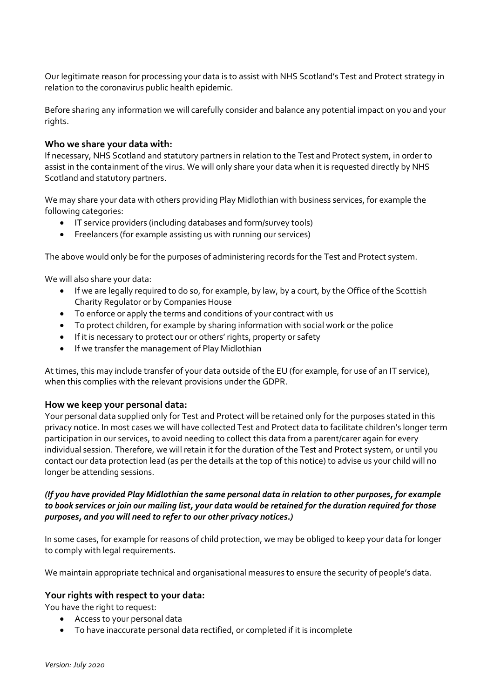Our legitimate reason for processing your data is to assist with NHS Scotland's Test and Protect strategy in relation to the coronavirus public health epidemic.

Before sharing any information we will carefully consider and balance any potential impact on you and your rights.

## **Who we share your data with:**

If necessary, NHS Scotland and statutory partners in relation to the Test and Protect system, in order to assist in the containment of the virus. We will only share your data when it is requested directly by NHS Scotland and statutory partners.

We may share your data with others providing Play Midlothian with business services, for example the following categories:

- IT service providers (including databases and form/survey tools)
- Freelancers (for example assisting us with running our services)

The above would only be for the purposes of administering records for the Test and Protect system.

We will also share your data:

- If we are legally required to do so, for example, by law, by a court, by the Office of the Scottish Charity Regulator or by Companies House
- To enforce or apply the terms and conditions of your contract with us
- To protect children, for example by sharing information with social work or the police
- If it is necessary to protect our or others' rights, property or safety
- If we transfer the management of Play Midlothian

At times, this may include transfer of your data outside of the EU (for example, for use of an IT service), when this complies with the relevant provisions under the GDPR.

## **How we keep your personal data:**

Your personal data supplied only for Test and Protect will be retained only for the purposes stated in this privacy notice. In most cases we will have collected Test and Protect data to facilitate children's longer term participation in our services, to avoid needing to collect this data from a parent/carer again for every individual session. Therefore, we will retain it for the duration of the Test and Protect system, or until you contact our data protection lead (as per the details at the top of this notice) to advise us your child will no longer be attending sessions.

## *(If you have provided Play Midlothian the same personal data in relation to other purposes, for example to book services or join our mailing list, your data would be retained for the duration required for those purposes, and you will need to refer to our other privacy notices.)*

In some cases, for example for reasons of child protection, we may be obliged to keep your data for longer to comply with legal requirements.

We maintain appropriate technical and organisational measures to ensure the security of people's data.

## **Your rights with respect to your data:**

You have the right to request:

- Access to your personal data
- To have inaccurate personal data rectified, or completed if it is incomplete